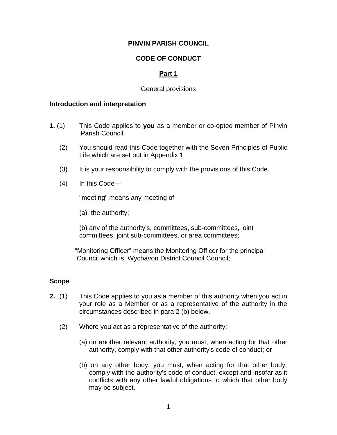## **PINVIN PARISH COUNCIL**

# **CODE OF CONDUCT**

# **Part 1**

## General provisions

#### **Introduction and interpretation**

- **1.** (1) This Code applies to **you** as a member or co-opted member of Pinvin Parish Council.
	- (2) You should read this Code together with the Seven Principles of Public Life which are set out in Appendix 1
	- (3) It is your responsibility to comply with the provisions of this Code.
	- (4) In this Code—

"meeting" means any meeting of

(a) the authority;

(b) any of the authority's, committees, sub-committees, joint committees, joint sub-committees, or area committees;

 "Monitoring Officer" means the Monitoring Officer for the principal Council which is Wychavon District Council Council;

## **Scope**

- **2.** (1) This Code applies to you as a member of this authority when you act in your role as a Member or as a representative of the authority in the circumstances described in para 2 (b) below.
	- (2) Where you act as a representative of the authority:
		- (a) on another relevant authority, you must, when acting for that other authority, comply with that other authority's code of conduct; or
		- (b) on any other body, you must, when acting for that other body, comply with the authority's code of conduct, except and insofar as it conflicts with any other lawful obligations to which that other body may be subject.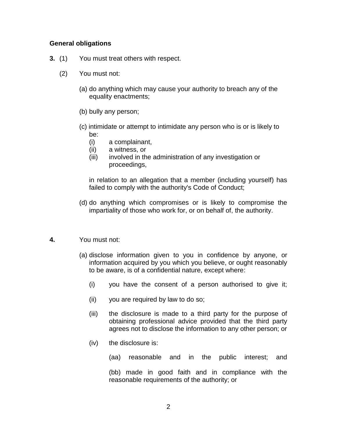## **General obligations**

- **3.** (1) You must treat others with respect.
	- (2) You must not:
		- (a) do anything which may cause your authority to breach any of the equality enactments;
		- (b) bully any person;
		- (c) intimidate or attempt to intimidate any person who is or is likely to be:
			- (i) a complainant,
			- (ii) a witness, or
			- (iii) involved in the administration of any investigation or proceedings,

in relation to an allegation that a member (including yourself) has failed to comply with the authority's Code of Conduct;

(d) do anything which compromises or is likely to compromise the impartiality of those who work for, or on behalf of, the authority.

#### **4.** You must not:

- (a) disclose information given to you in confidence by anyone, or information acquired by you which you believe, or ought reasonably to be aware, is of a confidential nature, except where:
	- (i) you have the consent of a person authorised to give it;
	- (ii) you are required by law to do so;
	- (iii) the disclosure is made to a third party for the purpose of obtaining professional advice provided that the third party agrees not to disclose the information to any other person; or
	- (iv) the disclosure is:

(aa) reasonable and in the public interest; and

(bb) made in good faith and in compliance with the reasonable requirements of the authority; or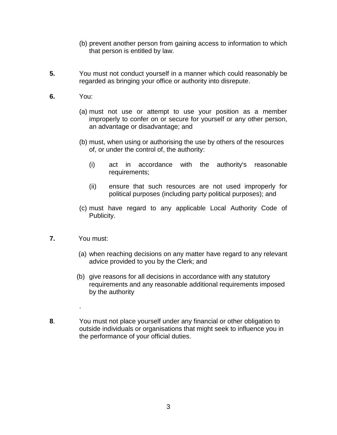- (b) prevent another person from gaining access to information to which that person is entitled by law.
- **5.** You must not conduct yourself in a manner which could reasonably be regarded as bringing your office or authority into disrepute.
- **6.** You:
	- (a) must not use or attempt to use your position as a member improperly to confer on or secure for yourself or any other person, an advantage or disadvantage; and
	- (b) must, when using or authorising the use by others of the resources of, or under the control of, the authority:
		- (i) act in accordance with the authority's reasonable requirements;
		- (ii) ensure that such resources are not used improperly for political purposes (including party political purposes); and
	- (c) must have regard to any applicable Local Authority Code of Publicity.
- **7.** You must:

.

- (a) when reaching decisions on any matter have regard to any relevant advice provided to you by the Clerk; and
- (b) give reasons for all decisions in accordance with any statutory requirements and any reasonable additional requirements imposed by the authority
- **8**. You must not place yourself under any financial or other obligation to outside individuals or organisations that might seek to influence you in the performance of your official duties.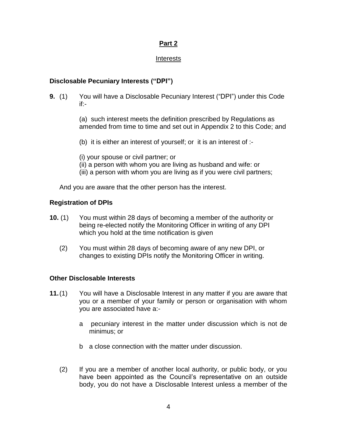# **Part 2**

## Interests

# **Disclosable Pecuniary Interests ("DPI")**

**9.** (1) You will have a Disclosable Pecuniary Interest ("DPI") under this Code if:-

> (a) such interest meets the definition prescribed by Regulations as amended from time to time and set out in Appendix 2 to this Code; and

(b) it is either an interest of yourself; or it is an interest of :-

(i) your spouse or civil partner; or

- (ii) a person with whom you are living as husband and wife: or
- (iii) a person with whom you are living as if you were civil partners;

And you are aware that the other person has the interest.

# **Registration of DPIs**

- **10.** (1) You must within 28 days of becoming a member of the authority or being re-elected notify the Monitoring Officer in writing of any DPI which you hold at the time notification is given
	- (2) You must within 28 days of becoming aware of any new DPI, or changes to existing DPIs notify the Monitoring Officer in writing.

# **Other Disclosable Interests**

- **11.**(1) You will have a Disclosable Interest in any matter if you are aware that you or a member of your family or person or organisation with whom you are associated have a:
	- a pecuniary interest in the matter under discussion which is not de minimus; or
	- b a close connection with the matter under discussion.
	- (2) If you are a member of another local authority, or public body, or you have been appointed as the Council's representative on an outside body, you do not have a Disclosable Interest unless a member of the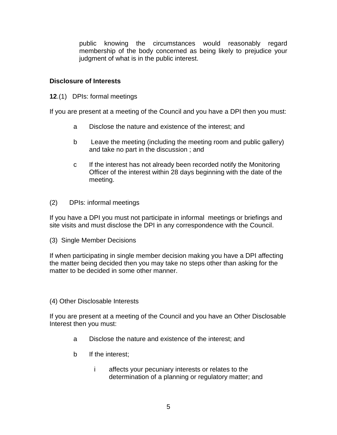public knowing the circumstances would reasonably regard membership of the body concerned as being likely to prejudice your judgment of what is in the public interest.

## **Disclosure of Interests**

**12**.(1) DPIs: formal meetings

If you are present at a meeting of the Council and you have a DPI then you must:

- a Disclose the nature and existence of the interest; and
- b Leave the meeting (including the meeting room and public gallery) and take no part in the discussion ; and
- c If the interest has not already been recorded notify the Monitoring Officer of the interest within 28 days beginning with the date of the meeting.
- (2) DPIs: informal meetings

If you have a DPI you must not participate in informal meetings or briefings and site visits and must disclose the DPI in any correspondence with the Council.

(3) Single Member Decisions

If when participating in single member decision making you have a DPI affecting the matter being decided then you may take no steps other than asking for the matter to be decided in some other manner.

(4) Other Disclosable Interests

If you are present at a meeting of the Council and you have an Other Disclosable Interest then you must:

- a Disclose the nature and existence of the interest; and
- b If the interest;
	- i affects your pecuniary interests or relates to the determination of a planning or regulatory matter; and